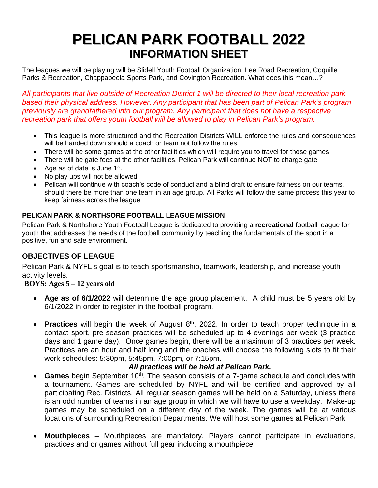# **PELICAN PARK FOOTBALL 2022 INFORMATION SHEET**

The leagues we will be playing will be Slidell Youth Football Organization, Lee Road Recreation, Coquille Parks & Recreation, Chappapeela Sports Park, and Covington Recreation. What does this mean…?

*All participants that live outside of Recreation District 1 will be directed to their local recreation park based their physical address. However, Any participant that has been part of Pelican Park's program previously are grandfathered into our program. Any participant that does not have a respective recreation park that offers youth football will be allowed to play in Pelican Park's program.* 

- This league is more structured and the Recreation Districts WILL enforce the rules and consequences will be handed down should a coach or team not follow the rules.
- There will be some games at the other facilities which will require you to travel for those games
- There will be gate fees at the other facilities. Pelican Park will continue NOT to charge gate
- Age as of date is June  $1<sup>st</sup>$ .
- No play ups will not be allowed
- Pelican will continue with coach's code of conduct and a blind draft to ensure fairness on our teams, should there be more than one team in an age group. All Parks will follow the same process this year to keep fairness across the league

#### **PELICAN PARK & NORTHSORE FOOTBALL LEAGUE MISSION**

Pelican Park & Northshore Youth Football League is dedicated to providing a **recreational** football league for youth that addresses the needs of the football community by teaching the fundamentals of the sport in a positive, fun and safe environment.

### **OBJECTIVES OF LEAGUE**

Pelican Park & NYFL's goal is to teach sportsmanship, teamwork, leadership, and increase youth activity levels.

#### **BOYS: Ages 5 – 12 years old**

- **Age as of 6/1/2022** will determine the age group placement. A child must be 5 years old by 6/1/2022 in order to register in the football program.
- **Practices** will begin the week of August 8<sup>th</sup>, 2022. In order to teach proper technique in a contact sport, pre-season practices will be scheduled up to 4 evenings per week (3 practice days and 1 game day). Once games begin, there will be a maximum of 3 practices per week. Practices are an hour and half long and the coaches will choose the following slots to fit their work schedules: 5:30pm, 5:45pm, 7:00pm, or 7:15pm.

#### *All practices will be held at Pelican Park.*

- **Games** begin September 10<sup>th</sup>. The season consists of a 7-game schedule and concludes with a tournament. Games are scheduled by NYFL and will be certified and approved by all participating Rec. Districts. All regular season games will be held on a Saturday, unless there is an odd number of teams in an age group in which we will have to use a weekday. Make-up games may be scheduled on a different day of the week. The games will be at various locations of surrounding Recreation Departments. We will host some games at Pelican Park
- **Mouthpieces** Mouthpieces are mandatory. Players cannot participate in evaluations, practices and or games without full gear including a mouthpiece.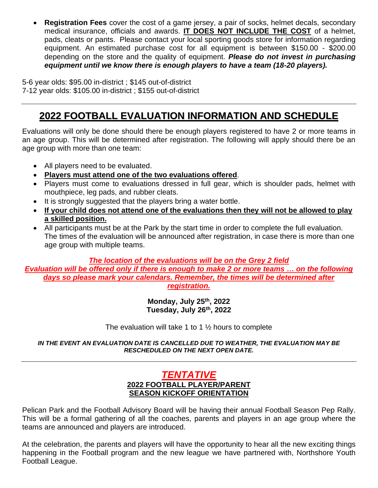• **Registration Fees** cover the cost of a game jersey, a pair of socks, helmet decals, secondary medical insurance, officials and awards. **IT DOES NOT INCLUDE THE COST** of a helmet, pads, cleats or pants. Please contact your local sporting goods store for information regarding equipment. An estimated purchase cost for all equipment is between \$150.00 - \$200.00 depending on the store and the quality of equipment. *Please do not invest in purchasing equipment until we know there is enough players to have a team (18-20 players).*

5-6 year olds: \$95.00 in-district ; \$145 out-of-district 7-12 year olds: \$105.00 in-district ; \$155 out-of-district

# **2022 FOOTBALL EVALUATION INFORMATION AND SCHEDULE**

Evaluations will only be done should there be enough players registered to have 2 or more teams in an age group. This will be determined after registration. The following will apply should there be an age group with more than one team:

- All players need to be evaluated.
- **Players must attend one of the two evaluations offered**.
- Players must come to evaluations dressed in full gear, which is shoulder pads, helmet with mouthpiece, leg pads, and rubber cleats.
- It is strongly suggested that the players bring a water bottle.
- **If your child does not attend one of the evaluations then they will not be allowed to play a skilled position.**
- All participants must be at the Park by the start time in order to complete the full evaluation. The times of the evaluation will be announced after registration, in case there is more than one age group with multiple teams.

#### *The location of the evaluations will be on the Grey 2 field*

*Evaluation will be offered only if there is enough to make 2 or more teams … on the following days so please mark your calendars. Remember, the times will be determined after registration.* 

> **Monday, July 25th, 2022 Tuesday, July 26th, 2022**

The evaluation will take 1 to 1  $\frac{1}{2}$  hours to complete

*IN THE EVENT AN EVALUATION DATE IS CANCELLED DUE TO WEATHER, THE EVALUATION MAY BE RESCHEDULED ON THE NEXT OPEN DATE.*

## *TENTATIVE*  **2022 FOOTBALL PLAYER/PARENT SEASON KICKOFF ORIENTATION**

Pelican Park and the Football Advisory Board will be having their annual Football Season Pep Rally. This will be a formal gathering of all the coaches, parents and players in an age group where the teams are announced and players are introduced.

At the celebration, the parents and players will have the opportunity to hear all the new exciting things happening in the Football program and the new league we have partnered with, Northshore Youth Football League.